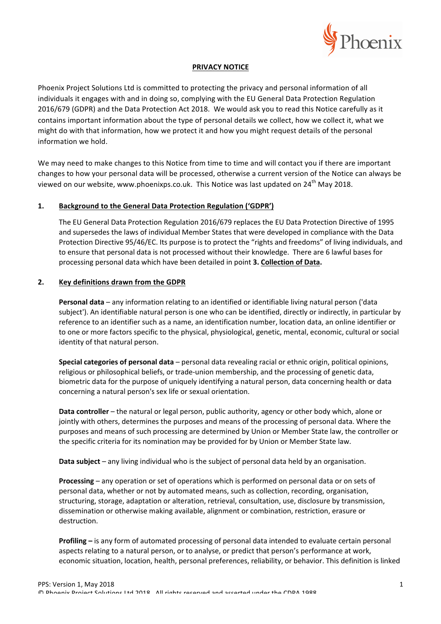

### **PRIVACY NOTICE**

Phoenix Project Solutions Ltd is committed to protecting the privacy and personal information of all individuals it engages with and in doing so, complying with the EU General Data Protection Regulation 2016/679 (GDPR) and the Data Protection Act 2018. We would ask you to read this Notice carefully as it contains important information about the type of personal details we collect, how we collect it, what we might do with that information, how we protect it and how you might request details of the personal information we hold.

We may need to make changes to this Notice from time to time and will contact you if there are important changes to how your personal data will be processed, otherwise a current version of the Notice can always be viewed on our website, www.phoenixps.co.uk. This Notice was last updated on 24<sup>th</sup> May 2018.

# 1. Background to the General Data Protection Regulation ('GDPR')

The EU General Data Protection Regulation 2016/679 replaces the EU Data Protection Directive of 1995 and supersedes the laws of individual Member States that were developed in compliance with the Data Protection Directive 95/46/EC. Its purpose is to protect the "rights and freedoms" of living individuals, and to ensure that personal data is not processed without their knowledge. There are 6 lawful bases for processing personal data which have been detailed in point 3. Collection of Data.

### **2. Key definitions drawn from the GDPR**

**Personal data** – any information relating to an identified or identifiable living natural person ('data subject'). An identifiable natural person is one who can be identified, directly or indirectly, in particular by reference to an identifier such as a name, an identification number, location data, an online identifier or to one or more factors specific to the physical, physiological, genetic, mental, economic, cultural or social identity of that natural person.

**Special categories of personal data** – personal data revealing racial or ethnic origin, political opinions, religious or philosophical beliefs, or trade-union membership, and the processing of genetic data, biometric data for the purpose of uniquely identifying a natural person, data concerning health or data concerning a natural person's sex life or sexual orientation.

**Data controller** – the natural or legal person, public authority, agency or other body which, alone or jointly with others, determines the purposes and means of the processing of personal data. Where the purposes and means of such processing are determined by Union or Member State law, the controller or the specific criteria for its nomination may be provided for by Union or Member State law.

**Data subject** – any living individual who is the subject of personal data held by an organisation.

**Processing** – any operation or set of operations which is performed on personal data or on sets of personal data, whether or not by automated means, such as collection, recording, organisation, structuring, storage, adaptation or alteration, retrieval, consultation, use, disclosure by transmission, dissemination or otherwise making available, alignment or combination, restriction, erasure or destruction.

**Profiling** – is any form of automated processing of personal data intended to evaluate certain personal aspects relating to a natural person, or to analyse, or predict that person's performance at work, economic situation, location, health, personal preferences, reliability, or behavior. This definition is linked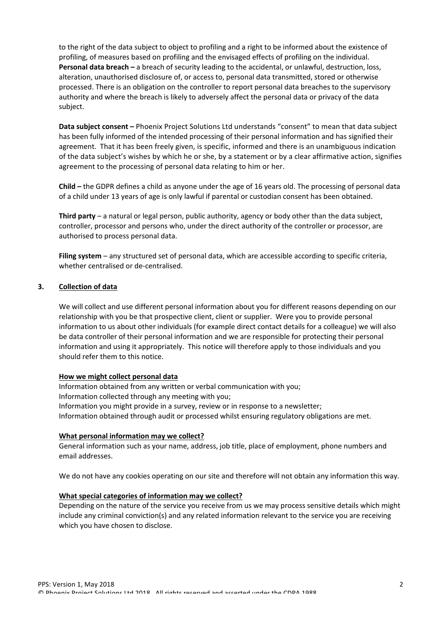to the right of the data subject to object to profiling and a right to be informed about the existence of profiling, of measures based on profiling and the envisaged effects of profiling on the individual. **Personal data breach** – a breach of security leading to the accidental, or unlawful, destruction, loss, alteration, unauthorised disclosure of, or access to, personal data transmitted, stored or otherwise processed. There is an obligation on the controller to report personal data breaches to the supervisory authority and where the breach is likely to adversely affect the personal data or privacy of the data subject.

**Data subject consent** – Phoenix Project Solutions Ltd understands "consent" to mean that data subject has been fully informed of the intended processing of their personal information and has signified their agreement. That it has been freely given, is specific, informed and there is an unambiguous indication of the data subject's wishes by which he or she, by a statement or by a clear affirmative action, signifies agreement to the processing of personal data relating to him or her.

**Child** – the GDPR defines a child as anyone under the age of 16 years old. The processing of personal data of a child under 13 years of age is only lawful if parental or custodian consent has been obtained.

**Third party** – a natural or legal person, public authority, agency or body other than the data subject, controller, processor and persons who, under the direct authority of the controller or processor, are authorised to process personal data.

**Filing system** – any structured set of personal data, which are accessible according to specific criteria, whether centralised or de-centralised.

## **3. Collection of data**

We will collect and use different personal information about you for different reasons depending on our relationship with you be that prospective client, client or supplier. Were you to provide personal information to us about other individuals (for example direct contact details for a colleague) we will also be data controller of their personal information and we are responsible for protecting their personal information and using it appropriately. This notice will therefore apply to those individuals and you should refer them to this notice.

### **How we might collect personal data**

Information obtained from any written or verbal communication with you; Information collected through any meeting with you; Information you might provide in a survey, review or in response to a newsletter; Information obtained through audit or processed whilst ensuring regulatory obligations are met.

### **What personal information may we collect?**

General information such as your name, address, job title, place of employment, phone numbers and email addresses.

We do not have any cookies operating on our site and therefore will not obtain any information this way.

# **What special categories of information may we collect?**

Depending on the nature of the service you receive from us we may process sensitive details which might include any criminal conviction(s) and any related information relevant to the service you are receiving which you have chosen to disclose.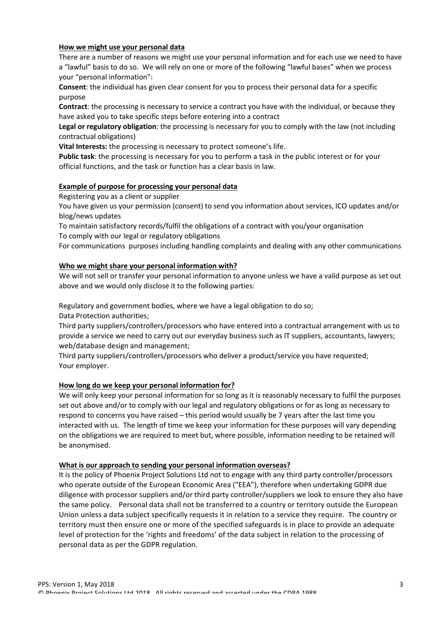### **How we might use your personal data**

There are a number of reasons we might use your personal information and for each use we need to have a "lawful" basis to do so. We will rely on one or more of the following "lawful bases" when we process your "personal information":

**Consent:** the individual has given clear consent for you to process their personal data for a specific purpose

**Contract**: the processing is necessary to service a contract you have with the individual, or because they have asked you to take specific steps before entering into a contract

**Legal or regulatory obligation**: the processing is necessary for you to comply with the law (not including contractual obligations)

**Vital Interests:** the processing is necessary to protect someone's life.

**Public task:** the processing is necessary for you to perform a task in the public interest or for your official functions, and the task or function has a clear basis in law.

## **Example of purpose for processing your personal data**

Registering you as a client or supplier

You have given us your permission (consent) to send you information about services, ICO updates and/or blog/news updates 

To maintain satisfactory records/fulfil the obligations of a contract with you/your organisation To comply with our legal or regulatory obligations

For communications purposes including handling complaints and dealing with any other communications

## Who we might share your personal information with?

We will not sell or transfer your personal information to anyone unless we have a valid purpose as set out above and we would only disclose it to the following parties:

Regulatory and government bodies, where we have a legal obligation to do so;

Data Protection authorities;

Third party suppliers/controllers/processors who have entered into a contractual arrangement with us to provide a service we need to carry out our everyday business such as IT suppliers, accountants, lawyers; web/database design and management;

Third party suppliers/controllers/processors who deliver a product/service you have requested; Your employer.

### How long do we keep your personal information for?

We will only keep your personal information for so long as it is reasonably necessary to fulfil the purposes set out above and/or to comply with our legal and regulatory obligations or for as long as necessary to respond to concerns you have raised – this period would usually be 7 years after the last time you interacted with us. The length of time we keep your information for these purposes will vary depending on the obligations we are required to meet but, where possible, information needing to be retained will be anonymised.

### **What is our approach to sending your personal information overseas?**

It is the policy of Phoenix Project Solutions Ltd not to engage with any third party controller/processors who operate outside of the European Economic Area ("EEA"), therefore when undertaking GDPR due diligence with processor suppliers and/or third party controller/suppliers we look to ensure they also have the same policy. Personal data shall not be transferred to a country or territory outside the European Union unless a data subject specifically requests it in relation to a service they require. The country or territory must then ensure one or more of the specified safeguards is in place to provide an adequate level of protection for the 'rights and freedoms' of the data subject in relation to the processing of personal data as per the GDPR regulation.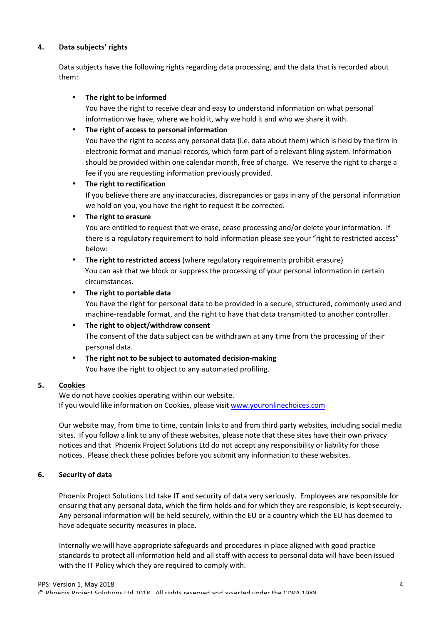## **4. Data subjects' rights**

Data subjects have the following rights regarding data processing, and the data that is recorded about them:

### • The right to be informed

You have the right to receive clear and easy to understand information on what personal information we have, where we hold it, why we hold it and who we share it with.

# • The right of access to personal information

You have the right to access any personal data (i.e. data about them) which is held by the firm in electronic format and manual records, which form part of a relevant filing system. Information should be provided within one calendar month, free of charge. We reserve the right to charge a fee if you are requesting information previously provided.

### • The right to rectification

If you believe there are any inaccuracies, discrepancies or gaps in any of the personal information we hold on you, you have the right to request it be corrected.

### **The right to erasure**

You are entitled to request that we erase, cease processing and/or delete your information. If there is a regulatory requirement to hold information please see your "right to restricted access" below:

**The right to restricted access** (where regulatory requirements prohibit erasure) You can ask that we block or suppress the processing of your personal information in certain circumstances. 

## The right to portable data

You have the right for personal data to be provided in a secure, structured, commonly used and machine-readable format, and the right to have that data transmitted to another controller.

### The right to object/withdraw consent

The consent of the data subject can be withdrawn at any time from the processing of their personal data.

### The right not to be subject to automated decision-making

You have the right to object to any automated profiling.

### **5. Cookies**

We do not have cookies operating within our website. If you would like information on Cookies, please visit www.youronlinechoices.com

Our website may, from time to time, contain links to and from third party websites, including social media sites. If you follow a link to any of these websites, please note that these sites have their own privacy notices and that Phoenix Project Solutions Ltd do not accept any responsibility or liability for those notices. Please check these policies before you submit any information to these websites.

### **6. Security of data**

Phoenix Project Solutions Ltd take IT and security of data very seriously. Employees are responsible for ensuring that any personal data, which the firm holds and for which they are responsible, is kept securely. Any personal information will be held securely, within the EU or a country which the EU has deemed to have adequate security measures in place.

Internally we will have appropriate safeguards and procedures in place aligned with good practice standards to protect all information held and all staff with access to personal data will have been issued with the IT Policy which they are required to comply with.